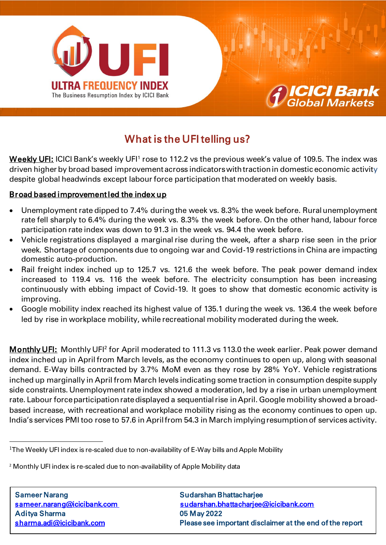



# What is the UFI telling us?

**<u>Weekly UFI:</u> ICICI Bank's weekly UFI<sup>1</sup> rose to 112.2 vs the previous week's value of 109.5. The index was** driven higher by broad based improvement across indicators with traction in domestic economic activity despite global headwinds except labour force participation that moderated on weekly basis.

## Broad based improvement led the index up

- Unemployment rate dipped to 7.4% during the week vs. 8.3% the week before. Rural unemployment rate fell sharply to 6.4% during the week vs. 8.3% the week before. On the other hand, labour force participation rate index was down to 91.3 in the week vs. 94.4 the week before.
- Vehicle registrations displayed a marginal rise during the week, after a sharp rise seen in the prior week. Shortage of components due to ongoing war and Covid-19 restrictions in China are impacting domestic auto-production.
- Rail freight index inched up to 125.7 vs. 121.6 the week before. The peak power demand index increased to 119.4 vs. 116 the week before. The electricity consumption has been increasing continuously with ebbing impact of Covid-19. It goes to show that domestic economic activity is improving.
- Google mobility index reached its highest value of 135.1 during the week vs. 136.4 the week before led by rise in workplace mobility, while recreational mobility moderated during the week.

Monthly UFI: Monthly UFI<sup>2</sup> for April moderated to 111.3 vs 113.0 the week earlier. Peak power demand index inched up in April from March levels, as the economy continues to open up, along with seasonal demand. E-Way bills contracted by 3.7% MoM even as they rose by 28% YoY. Vehicle registrations inched up marginally in April from March levels indicating some traction in consumption despite supply side constraints. Unemployment rate index showed a moderation, led by a rise in urban unemployment rate. Labour force participation rate displayed a sequential rise in April. Google mobility showed a broadbased increase, with recreational and workplace mobility rising as the economy continues to open up. India's services PMI too rose to 57.6 in April from 54.3 in March implying resumption of services activity.

 $\overline{a}$ 

1

<sup>&</sup>lt;sup>1</sup>The Weekly UFI index is re-scaled due to non-availability of E-Way bills and Apple Mobility

<sup>&</sup>lt;sup>2</sup> Monthly UFI index is re-scaled due to non-availability of Apple Mobility data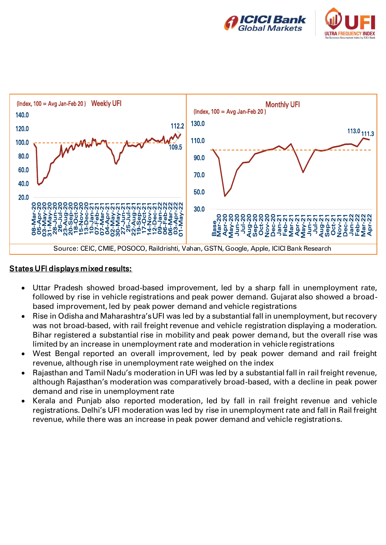





### States UFI displays mixed results:

- Uttar Pradesh showed broad-based improvement, led by a sharp fall in unemployment rate, followed by rise in vehicle registrations and peak power demand. Gujarat also showed a broadbased improvement, led by peak power demand and vehicle registrations
- Rise in Odisha and Maharashtra's UFI was led by a substantial fall in unemployment, but recovery was not broad-based, with rail freight revenue and vehicle registration displaying a moderation. Bihar registered a substantial rise in mobility and peak power demand, but the overall rise was limited by an increase in unemployment rate and moderation in vehicle registrations
- West Bengal reported an overall improvement, led by peak power demand and rail freight revenue, although rise in unemployment rate weighed on the index
- Rajasthan and Tamil Nadu's moderation in UFI was led by a substantial fall in rail freight revenue, although Rajasthan's moderation was comparatively broad-based, with a decline in peak power demand and rise in unemployment rate
- Kerala and Punjab also reported moderation, led by fall in rail freight revenue and vehicle registrations. Delhi's UFI moderation was led by rise in unemployment rate and fall in Rail freight revenue, while there was an increase in peak power demand and vehicle registrations.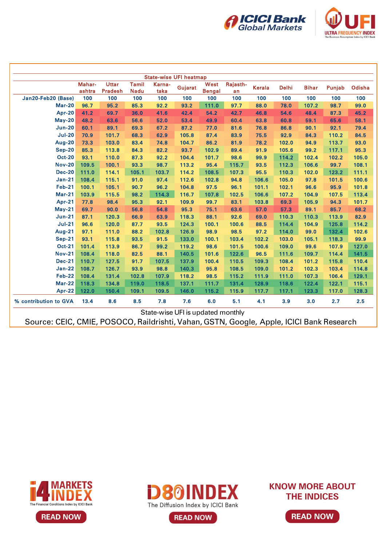



|                       | Mahar-<br>ashtra | <b>Uttar</b><br><b>Pradesh</b> | <b>Tamil</b><br><b>Nadu</b> | Karna-<br>taka | Gujarat | West<br><b>Bengal</b> | Rajasth-<br>an | <b>Kerala</b> | <b>Delhi</b> | <b>Bihar</b> | Punjab | Odisha |
|-----------------------|------------------|--------------------------------|-----------------------------|----------------|---------|-----------------------|----------------|---------------|--------------|--------------|--------|--------|
| Jan20-Feb20 (Base)    | 100              | 100                            | 100                         | 100            | 100     | 100                   | 100            | 100           | 100          | 100          | 100    | 100    |
| <b>Mar-20</b>         | 96.7             | 95.2                           | 85.3                        | 92.2           | 93.2    | 111.0                 | 97.7           | 88.0          | 78.0         | 107.2        | 98.7   | 99.0   |
| <b>Apr-20</b>         | 41.2             | 69.7                           | 36.0                        | 41.6           | 42.4    | 54.2                  | 42.7           | 46.8          | 54.6         | 48.4         | 87.3   | 45.2   |
| <b>May-20</b>         | 48.2             | 63.6                           | 56.6                        | 52.0           | 53.4    | 49.9                  | 60.4           | 63.8          | 60.8         | 59.1         | 65.6   | 58.1   |
| <b>Jun-20</b>         | 60.1             | 89.1                           | 69.3                        | 67.2           | 87.2    | 77.0                  | 81.6           | 76.8          | 86.8         | 90.1         | 92.1   | 79.4   |
| <b>Jul-20</b>         | 70.9             | 101.7                          | 68.3                        | 62.9           | 105.8   | 87.4                  | 83.9           | 75.5          | 92.9         | 84.3         | 110.2  | 84.5   |
| Aug-20                | 73.3             | 103.0                          | 83.4                        | 74.8           | 104.7   | 86.2                  | 81.9           | 78.2          | 102.0        | 94.9         | 113.7  | 93.0   |
| <b>Sep-20</b>         | 85.3             | 113.8                          | 84.3                        | 82.2           | 93.7    | 102.9                 | 89.4           | 91.9          | 105.6        | 99.2         | 117.1  | 95.3   |
| <b>Oct-20</b>         | 93.1             | 110.0                          | 87.3                        | 92.2           | 104.4   | 101.7                 | 98.6           | 99.9          | 114.2        | 102.4        | 102.2  | 105.0  |
| <b>Nov-20</b>         | 109.5            | 100.1                          | 93.3                        | 98.7           | 113.2   | 95.4                  | 115.7          | 93.5          | 112.3        | 106.6        | 99.7   | 108.1  |
| <b>Dec-20</b>         | 111.0            | 114.1                          | 105.1                       | 103.7          | 114.2   | 108.5                 | 107.3          | 95.5          | 110.3        | 102.0        | 123.2  | 111.1  |
| <b>Jan-21</b>         | 108.4            | 115.1                          | 91.0                        | 97.4           | 112.6   | 102.8                 | 94.8           | 106.6         | 105.0        | 97.8         | 101.5  | 100.6  |
| <b>Feb-21</b>         | 100.1            | 105.1                          | 90.7                        | 96.2           | 104.8   | 97.5                  | 96.1           | 101.1         | 102.1        | 96.6         | 95.9   | 101.8  |
| <b>Mar-21</b>         | 103.9            | 115.5                          | 98.2                        | 114.3          | 116.7   | 107.8                 | 102.5          | 106.6         | 107.2        | 104.9        | 107.5  | 113.4  |
| <b>Apr-21</b>         | 77.8             | 98.4                           | 95.3                        | 92.1           | 109.9   | 99.7                  | 83.1           | 103.8         | 69.3         | 105.9        | 94.3   | 101.7  |
| <b>May-21</b>         | 69.7             | 90.0                           | 56.8                        | 54.8           | 95.3    | 75.1                  | 63.6           | 57.0          | 57.3         | 89.1         | 85.7   | 68.2   |
| <b>Jun-21</b>         | 87.1             | 120.3                          | 66.9                        | 63.9           | 118.3   | 88.1                  | 92.6           | 69.0          | 110.3        | 110.3        | 113.9  | 82.9   |
| <b>Jul-21</b>         | 96.6             | 120.0                          | 87.7                        | 93.5           | 124.3   | 100.1                 | 100.6          | 88.5          | 114.4        | 104.9        | 125.8  | 114.2  |
| <b>Aug-21</b>         | 97.1             | 111.0                          | 88.2                        | 102.8          | 126.9   | 98.9                  | 98.5           | 97.2          | 114.0        | 99.0         | 132.4  | 102.6  |
| <b>Sep-21</b>         | 93.1             | 115.8                          | 93.5                        | 91.5           | 133.0   | 100.1                 | 103.4          | 102.2         | 103.0        | 105.1        | 118.3  | 99.9   |
| <b>Oct-21</b>         | 101.4            | 113.9                          | 86.7                        | 99.2           | 119.2   | 98.6                  | 101.5          | 100.6         | 109.0        | 99.6         | 107.9  | 127.0  |
| <b>Nov-21</b>         | 108.4            | 118.0                          | 82.5                        | 88.1           | 140.5   | 101.6                 | 122.6          | 96.5          | 111.6        | 109.7        | 114.4  | 141.5  |
| <b>Dec-21</b>         | 110.7            | 127.5                          | 91.7                        | 107.5          | 137.9   | 100.4                 | 110.5          | 109.3         | 108.4        | 101.2        | 115.8  | 110.4  |
| <b>Jan-22</b>         | 108.7            | 126.7                          | 93.9                        | 98.8           | 140.3   | 95.8                  | 108.5          | 109.0         | 101.2        | 102.3        | 103.4  | 114.8  |
| <b>Feb-22</b>         | 108.4            | 131.4                          | 102.8                       | 107.9          | 118.2   | 98.5                  | 115.2          | 111.9         | 111.0        | 107.3        | 106.4  | 129.1  |
| <b>Mar-22</b>         | 118.3            | 134.8                          | 119.0                       | 118.5          | 137.1   | 111.7                 | 131.4          | 128.9         | 118.6        | 122.4        | 122.1  | 115.1  |
| $Apr-22$              | 122.0            | 150.4                          | 109.1                       | 109.5          | 146.0   | 115.2                 | 115.9          | 117.7         | 117.1        | 123.3        | 117.0  | 128.3  |
| % contribution to GVA | 13.4             | 8.6                            | 8.5                         | 7.8            | 7.6     | 6.0                   | 5.1            | 4.1           | 3.9          | 3.0          | 2.7    | 2.5    |







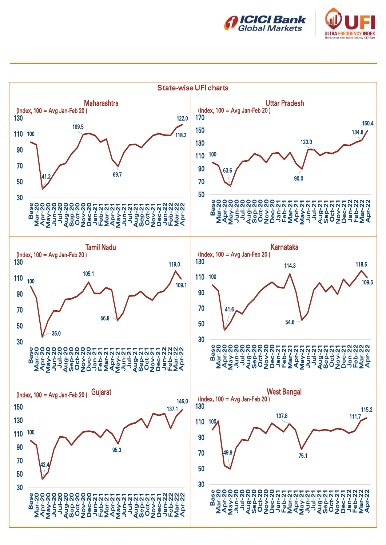



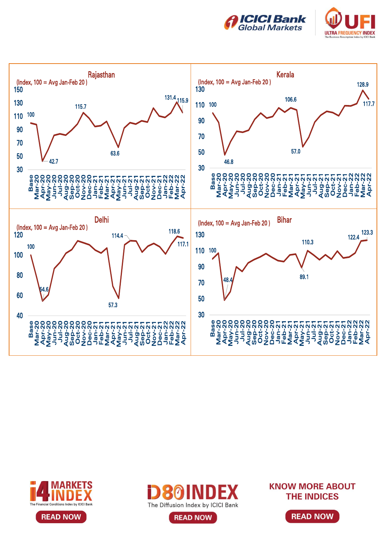









**READ NOW** 

**KNOW MORE ABOUT THE INDICES** 

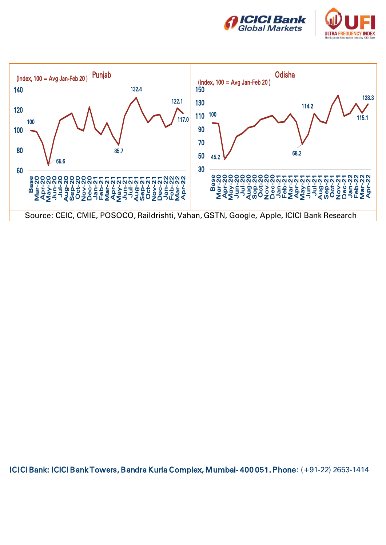





ICICI Bank: ICICI Bank Towers, Bandra Kurla Complex, Mumbai- 400 051. Phone: (+91-22) 2653-1414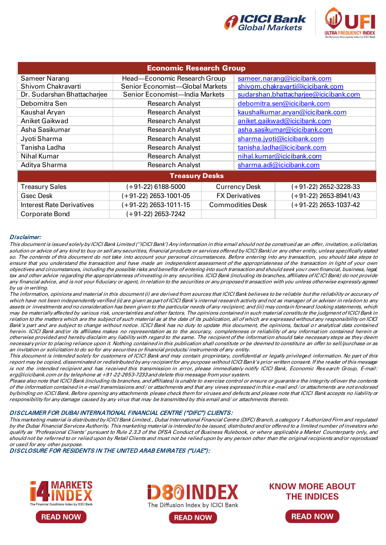



| <b>Economic Research Group</b>   |                                 |                      |                                  |                                       |  |  |  |  |  |  |
|----------------------------------|---------------------------------|----------------------|----------------------------------|---------------------------------------|--|--|--|--|--|--|
| Sameer Narang                    | Head-Economic Research Group    |                      | sameer.narang@icicibank.com      |                                       |  |  |  |  |  |  |
| Shivom Chakravarti               | Senior Economist-Global Markets |                      | shivom.chakravarti@icicibank.com |                                       |  |  |  |  |  |  |
| Dr. Sudarshan Bhattacharjee      | Senior Economist-India Markets  |                      |                                  | sudarshan.bhattacharjee@icicibank.com |  |  |  |  |  |  |
| Debomitra Sen                    | <b>Research Analyst</b>         |                      | debomitra.sen@icicibank.com      |                                       |  |  |  |  |  |  |
| Kaushal Aryan                    | <b>Research Analyst</b>         |                      | kaushalkumar.aryan@icicibank.com |                                       |  |  |  |  |  |  |
| Aniket Gaikwad                   | <b>Research Analyst</b>         |                      | aniket.gaikwad@icicibank.com     |                                       |  |  |  |  |  |  |
| Asha Sasikumar                   | <b>Research Analyst</b>         |                      |                                  | asha.sasikumar@icicibank.com          |  |  |  |  |  |  |
| Jyoti Sharma                     | <b>Research Analyst</b>         |                      |                                  | sharma.jyoti@icicibank.com            |  |  |  |  |  |  |
| Tanisha Ladha                    | <b>Research Analyst</b>         |                      | tanisha.ladha@icicibank.com      |                                       |  |  |  |  |  |  |
| Nihal Kumar                      | <b>Research Analyst</b>         |                      | nihal.kumar@icicibank.com        |                                       |  |  |  |  |  |  |
| Aditya Sharma                    | <b>Research Analyst</b>         |                      | sharma.adi@icicibank.com         |                                       |  |  |  |  |  |  |
| <b>Treasury Desks</b>            |                                 |                      |                                  |                                       |  |  |  |  |  |  |
| <b>Treasury Sales</b>            | $(+91-22)$ 6188-5000            | <b>Currency Desk</b> |                                  | $(+91-22)$ 2652-3228-33               |  |  |  |  |  |  |
| <b>Gsec Desk</b>                 | (+91-22) 2653-1001-05           |                      | <b>FX Derivatives</b>            | $(+91-22)$ 2653-8941/43               |  |  |  |  |  |  |
| <b>Interest Rate Derivatives</b> | (+91-22) 2653-1011-15           |                      | <b>Commodities Desk</b>          | $(+91-22)$ 2653-1037-42               |  |  |  |  |  |  |
| Corporate Bond                   | (+91-22) 2653-7242              |                      |                                  |                                       |  |  |  |  |  |  |

#### Disclaimer:

This document is issued solely by ICICI Bank Limited (''ICICI Bank') Any information in this email should not be construed as an offer, invitation, solicitation, solution or advice of any kind to buy or sell any securities, financial products or services offered by ICICI Bank) or any other entity, unless specifically stated so. The contents of this document do not take into account your personal circumstances. Before entering into any transaction, you should take steps to ensure that you understand the transaction and have made an independent assessment of the appropriateness of the transaction in light of your own objectives and circumstances, including the possible risks and benefits of entering into such transaction and should seek your own financial, business, legal, tax and other advice regarding the appropriateness of investing in any securities. ICICI Bank (including its branches, affiliates of IC ICI Bank) do not provide any financial advice, and is not your fiduciary or agent, in relation to the securities or any proposed transaction with you unless otherwise expressly agreed by us in writing.

The information, opinions and material in this document (i) are derived from sources that ICICI Bank believes to be reliable but the reliability or accuracy of which have not been independently verified (ii) are given as part of ICICI Bank's internal research activity and not as manager of or adviser in relation to any assets or investments and no consideration has been given to the particular needs of any recipient; and (iii) may contain forward looking statements, which may be materially affected by various risk, uncertainties and other factors. The opinions contained in such material constitute the judgment of ICICI Bank in relation to the matters which are the subject of such material as at the date of its publication, all of which are expressed without any responsibility on ICICI Bank's part and are subject to change without notice. ICICI Bank has no duty to update this document, the opinions, factual or analytical data contained herein. ICICI Bank and/or its affiliates makes no representation as to the accuracy, completeness or reliability of any information contained herein or otherwise provided and hereby disclaim any liability with regard to the same. The recipient of the information should take necessary steps as they deem necessary prior to placing reliance upon it. Nothing contained in this publication shall constitute or be deemed to constitute an offer to sell/purchase or as an invitation or solicitation to do so for any securities or financial products/ instruments of any entity.

This document is intended solely for customers of ICICI Bank and may contain proprietary, confidential or legally privileged information. No part of this report may be copied, disseminated or redistributed by any recipient for any purpose without ICICI Bank's prior written consent. If the reader of this message is not the intended recipient and has received this transmission in error, please immediately notify ICICI Bank, Economic Res earch Group, E-mail: erg@icicibank.com or by telephone at +91-22-2653-7233 and delete this message from your system.

Please also note that ICICI Bank (including its branches, and affiliates) is unable to exercise control or ensure or guarante e the integrity of/over the contents of the information contained in e-mail transmissions and / or attachments and that any views expressed in this e-mail and / or attachments are not endorsed by/binding on ICICI Bank. Before opening any attachments please check them for viruses and defects and please note that ICICI Bank accepts no liability or responsibility for any damage caused by any virus that may be transmitted by this email and/ or attachments thereto.

#### DISCLAIMER FOR DUBAI INTERNATIONAL FINANCIAL CENTRE ("DIFC") CLIENTS:

This marketing material is distributed by ICICI Bank Limited., Dubai International Financial Centre (DIFC) Branch, a category 1 Authorized Firm and regulated by the Dubai Financial Services Authority. This marketing material is intended to be issued, distributed and/or offered to a limited number of investors who qualify as 'Professional Clients' pursuant to Rule 2.3.3 of the DFSA Conduct of Business Rulebook, or where applicable a Market Counterparty only, and should not be referred to or relied upon by Retail Clients and must not be relied upon by any person other than the original recipients and/or reproduced or used for any other purpose.

DISCLOSURE FOR RESIDENTS IN THE UNITED ARAB EMIRATES ("UAE"):







**READ NOW** 

**KNOW MORE ABOUT THE INDICES**